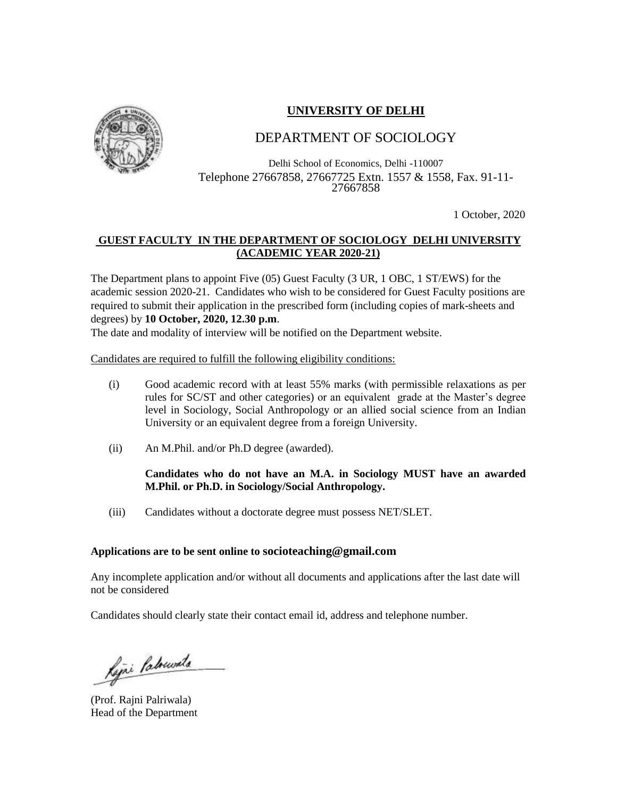# **UNIVERSITY OF DELHI**



# DEPARTMENT OF SOCIOLOGY

Delhi School of Economics, Delhi -110007 Telephone 27667858, 27667725 Extn. 1557 & 1558, Fax. 91-11- 27667858

1 October, 2020

## **GUEST FACULTY IN THE DEPARTMENT OF SOCIOLOGY DELHI UNIVERSITY (ACADEMIC YEAR 2020-21)**

The Department plans to appoint Five (05) Guest Faculty (3 UR, 1 OBC, 1 ST/EWS) for the academic session 2020-21. Candidates who wish to be considered for Guest Faculty positions are required to submit their application in the prescribed form (including copies of mark-sheets and degrees) by **10 October, 2020, 12.30 p.m**.

The date and modality of interview will be notified on the Department website.

Candidates are required to fulfill the following eligibility conditions:

- (i) Good academic record with at least 55% marks (with permissible relaxations as per rules for SC/ST and other categories) or an equivalent grade at the Master's degree level in Sociology, Social Anthropology or an allied social science from an Indian University or an equivalent degree from a foreign University.
- (ii) An M.Phil. and/or Ph.D degree (awarded).

#### **Candidates who do not have an M.A. in Sociology MUST have an awarded M.Phil. or Ph.D. in Sociology/Social Anthropology.**

(iii) Candidates without a doctorate degree must possess NET/SLET.

#### **Applications are to be sent online to socioteaching@gmail.com**

Any incomplete application and/or without all documents and applications after the last date will not be considered

Candidates should clearly state their contact email id, address and telephone number.

Rejni Patruvala

(Prof. Rajni Palriwala) Head of the Department